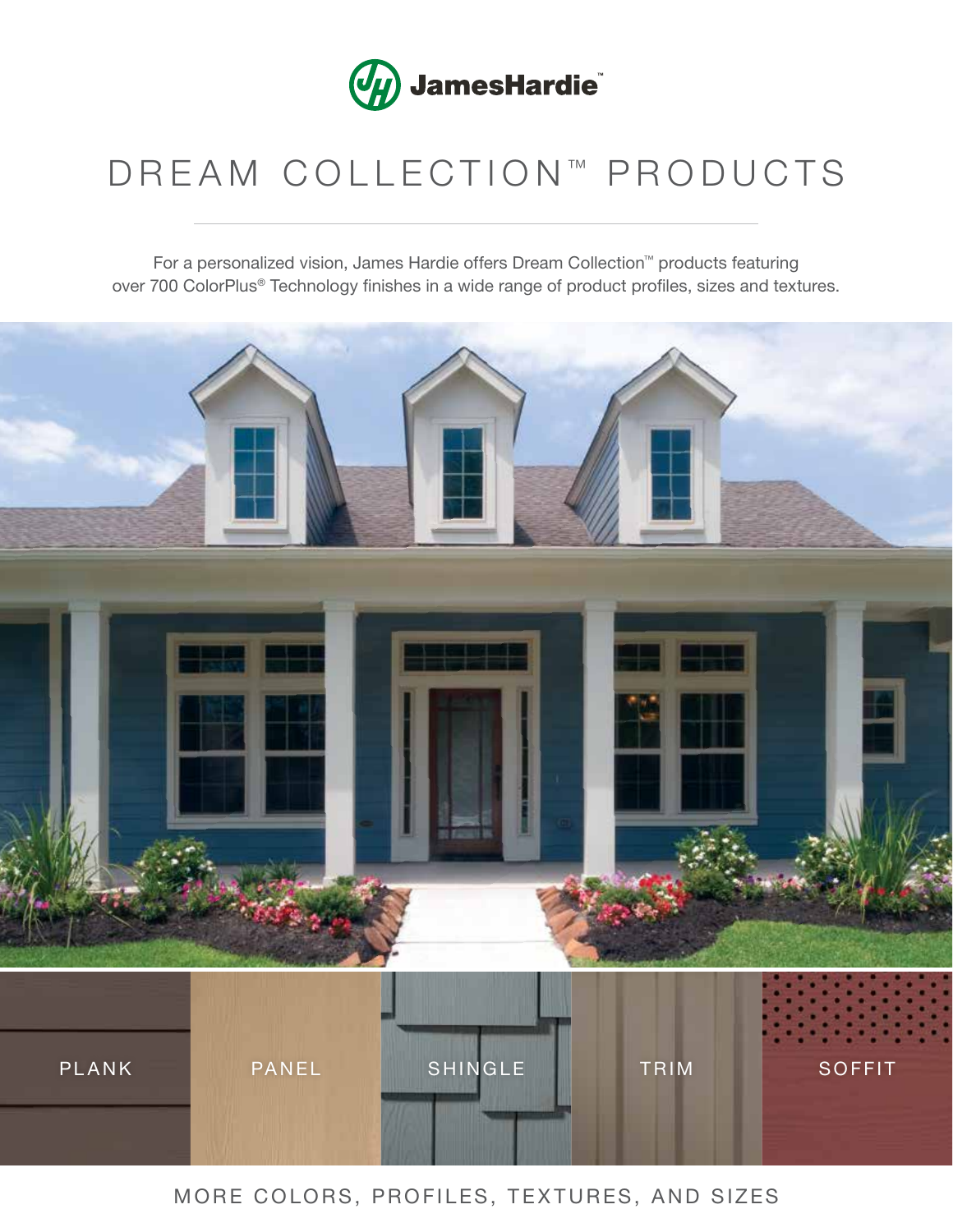

## DREAM COLLECTION™ PRODUCTS

For a personalized vision, James Hardie offers Dream Collection™ products featuring over 700 ColorPlus® Technology finishes in a wide range of product profiles, sizes and textures.



## MORE COLORS, PROFILES, TEXTURES, AND SIZES